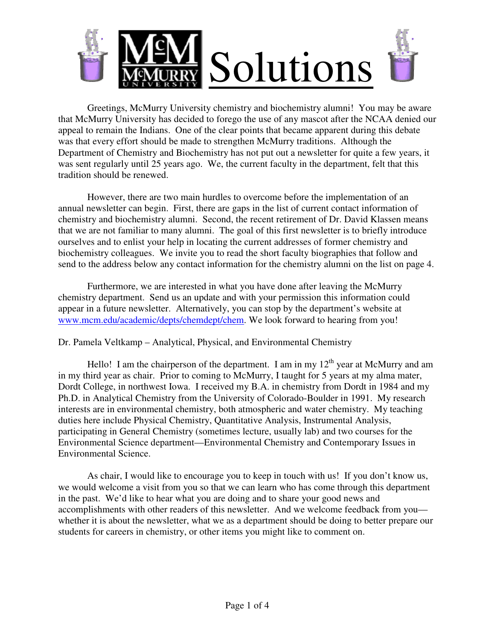

 Greetings, McMurry University chemistry and biochemistry alumni! You may be aware that McMurry University has decided to forego the use of any mascot after the NCAA denied our appeal to remain the Indians. One of the clear points that became apparent during this debate was that every effort should be made to strengthen McMurry traditions. Although the Department of Chemistry and Biochemistry has not put out a newsletter for quite a few years, it was sent regularly until 25 years ago. We, the current faculty in the department, felt that this tradition should be renewed.

However, there are two main hurdles to overcome before the implementation of an annual newsletter can begin. First, there are gaps in the list of current contact information of chemistry and biochemistry alumni. Second, the recent retirement of Dr. David Klassen means that we are not familiar to many alumni. The goal of this first newsletter is to briefly introduce ourselves and to enlist your help in locating the current addresses of former chemistry and biochemistry colleagues. We invite you to read the short faculty biographies that follow and send to the address below any contact information for the chemistry alumni on the list on page 4.

Furthermore, we are interested in what you have done after leaving the McMurry chemistry department. Send us an update and with your permission this information could appear in a future newsletter. Alternatively, you can stop by the department's website at www.mcm.edu/academic/depts/chemdept/chem. We look forward to hearing from you!

Dr. Pamela Veltkamp – Analytical, Physical, and Environmental Chemistry

Hello! I am the chairperson of the department. I am in my  $12<sup>th</sup>$  year at McMurry and am in my third year as chair. Prior to coming to McMurry, I taught for 5 years at my alma mater, Dordt College, in northwest Iowa. I received my B.A. in chemistry from Dordt in 1984 and my Ph.D. in Analytical Chemistry from the University of Colorado-Boulder in 1991. My research interests are in environmental chemistry, both atmospheric and water chemistry. My teaching duties here include Physical Chemistry, Quantitative Analysis, Instrumental Analysis, participating in General Chemistry (sometimes lecture, usually lab) and two courses for the Environmental Science department—Environmental Chemistry and Contemporary Issues in Environmental Science.

As chair, I would like to encourage you to keep in touch with us! If you don't know us, we would welcome a visit from you so that we can learn who has come through this department in the past. We'd like to hear what you are doing and to share your good news and accomplishments with other readers of this newsletter. And we welcome feedback from you whether it is about the newsletter, what we as a department should be doing to better prepare our students for careers in chemistry, or other items you might like to comment on.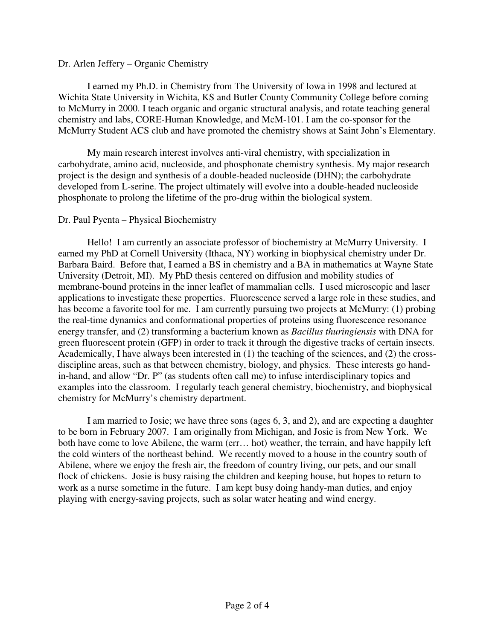## Dr. Arlen Jeffery – Organic Chemistry

I earned my Ph.D. in Chemistry from The University of Iowa in 1998 and lectured at Wichita State University in Wichita, KS and Butler County Community College before coming to McMurry in 2000. I teach organic and organic structural analysis, and rotate teaching general chemistry and labs, CORE-Human Knowledge, and McM-101. I am the co-sponsor for the McMurry Student ACS club and have promoted the chemistry shows at Saint John's Elementary.

My main research interest involves anti-viral chemistry, with specialization in carbohydrate, amino acid, nucleoside, and phosphonate chemistry synthesis. My major research project is the design and synthesis of a double-headed nucleoside (DHN); the carbohydrate developed from L-serine. The project ultimately will evolve into a double-headed nucleoside phosphonate to prolong the lifetime of the pro-drug within the biological system.

## Dr. Paul Pyenta – Physical Biochemistry

Hello! I am currently an associate professor of biochemistry at McMurry University. I earned my PhD at Cornell University (Ithaca, NY) working in biophysical chemistry under Dr. Barbara Baird. Before that, I earned a BS in chemistry and a BA in mathematics at Wayne State University (Detroit, MI). My PhD thesis centered on diffusion and mobility studies of membrane-bound proteins in the inner leaflet of mammalian cells. I used microscopic and laser applications to investigate these properties. Fluorescence served a large role in these studies, and has become a favorite tool for me. I am currently pursuing two projects at McMurry: (1) probing the real-time dynamics and conformational properties of proteins using fluorescence resonance energy transfer, and (2) transforming a bacterium known as *Bacillus thuringiensis* with DNA for green fluorescent protein (GFP) in order to track it through the digestive tracks of certain insects. Academically, I have always been interested in (1) the teaching of the sciences, and (2) the crossdiscipline areas, such as that between chemistry, biology, and physics. These interests go handin-hand, and allow "Dr. P" (as students often call me) to infuse interdisciplinary topics and examples into the classroom. I regularly teach general chemistry, biochemistry, and biophysical chemistry for McMurry's chemistry department.

I am married to Josie; we have three sons (ages 6, 3, and 2), and are expecting a daughter to be born in February 2007. I am originally from Michigan, and Josie is from New York. We both have come to love Abilene, the warm (err… hot) weather, the terrain, and have happily left the cold winters of the northeast behind. We recently moved to a house in the country south of Abilene, where we enjoy the fresh air, the freedom of country living, our pets, and our small flock of chickens. Josie is busy raising the children and keeping house, but hopes to return to work as a nurse sometime in the future. I am kept busy doing handy-man duties, and enjoy playing with energy-saving projects, such as solar water heating and wind energy.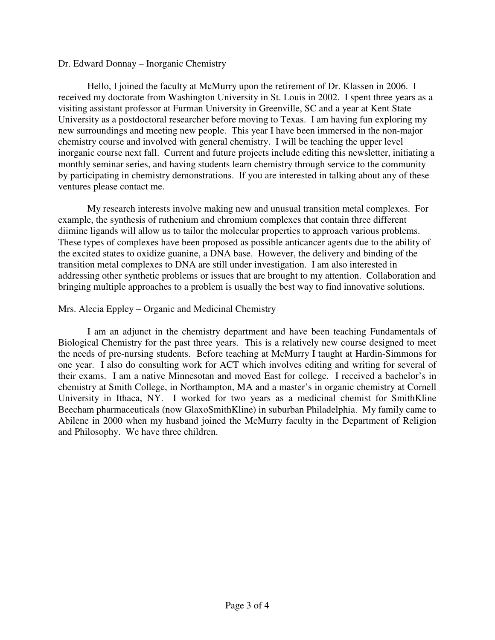## Dr. Edward Donnay – Inorganic Chemistry

Hello, I joined the faculty at McMurry upon the retirement of Dr. Klassen in 2006. I received my doctorate from Washington University in St. Louis in 2002. I spent three years as a visiting assistant professor at Furman University in Greenville, SC and a year at Kent State University as a postdoctoral researcher before moving to Texas. I am having fun exploring my new surroundings and meeting new people. This year I have been immersed in the non-major chemistry course and involved with general chemistry. I will be teaching the upper level inorganic course next fall. Current and future projects include editing this newsletter, initiating a monthly seminar series, and having students learn chemistry through service to the community by participating in chemistry demonstrations. If you are interested in talking about any of these ventures please contact me.

My research interests involve making new and unusual transition metal complexes. For example, the synthesis of ruthenium and chromium complexes that contain three different diimine ligands will allow us to tailor the molecular properties to approach various problems. These types of complexes have been proposed as possible anticancer agents due to the ability of the excited states to oxidize guanine, a DNA base. However, the delivery and binding of the transition metal complexes to DNA are still under investigation. I am also interested in addressing other synthetic problems or issues that are brought to my attention. Collaboration and bringing multiple approaches to a problem is usually the best way to find innovative solutions.

## Mrs. Alecia Eppley – Organic and Medicinal Chemistry

I am an adjunct in the chemistry department and have been teaching Fundamentals of Biological Chemistry for the past three years. This is a relatively new course designed to meet the needs of pre-nursing students. Before teaching at McMurry I taught at Hardin-Simmons for one year. I also do consulting work for ACT which involves editing and writing for several of their exams. I am a native Minnesotan and moved East for college. I received a bachelor's in chemistry at Smith College, in Northampton, MA and a master's in organic chemistry at Cornell University in Ithaca, NY. I worked for two years as a medicinal chemist for SmithKline Beecham pharmaceuticals (now GlaxoSmithKline) in suburban Philadelphia. My family came to Abilene in 2000 when my husband joined the McMurry faculty in the Department of Religion and Philosophy. We have three children.